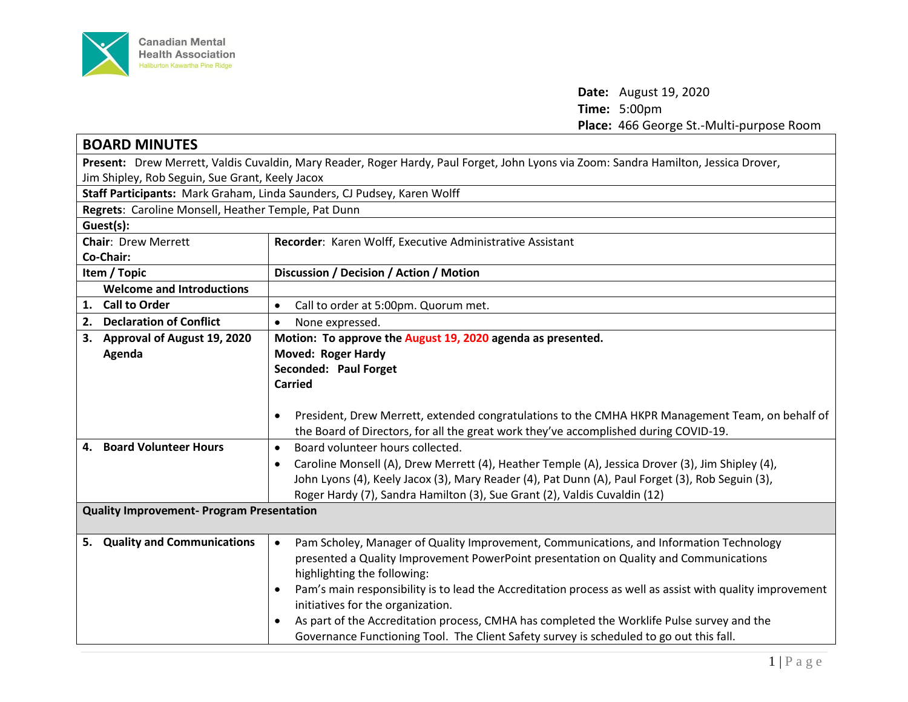

**Date:** August 19, 2020 **Time:** 5:00pm **Place:** 466 George St.-Multi-purpose Room

| <b>BOARD MINUTES</b>                                                                                                                 |                                                                                                                        |  |
|--------------------------------------------------------------------------------------------------------------------------------------|------------------------------------------------------------------------------------------------------------------------|--|
| Present: Drew Merrett, Valdis Cuvaldin, Mary Reader, Roger Hardy, Paul Forget, John Lyons via Zoom: Sandra Hamilton, Jessica Drover, |                                                                                                                        |  |
| Jim Shipley, Rob Seguin, Sue Grant, Keely Jacox                                                                                      |                                                                                                                        |  |
| Staff Participants: Mark Graham, Linda Saunders, CJ Pudsey, Karen Wolff                                                              |                                                                                                                        |  |
| Regrets: Caroline Monsell, Heather Temple, Pat Dunn                                                                                  |                                                                                                                        |  |
| Guest(s):                                                                                                                            |                                                                                                                        |  |
| <b>Chair: Drew Merrett</b>                                                                                                           | Recorder: Karen Wolff, Executive Administrative Assistant                                                              |  |
| Co-Chair:                                                                                                                            |                                                                                                                        |  |
| Item / Topic                                                                                                                         | Discussion / Decision / Action / Motion                                                                                |  |
| <b>Welcome and Introductions</b>                                                                                                     |                                                                                                                        |  |
| 1. Call to Order                                                                                                                     | Call to order at 5:00pm. Quorum met.<br>$\bullet$                                                                      |  |
| 2. Declaration of Conflict                                                                                                           | None expressed.<br>$\bullet$                                                                                           |  |
| 3. Approval of August 19, 2020                                                                                                       | Motion: To approve the August 19, 2020 agenda as presented.                                                            |  |
| Agenda                                                                                                                               | <b>Moved: Roger Hardy</b>                                                                                              |  |
|                                                                                                                                      | Seconded: Paul Forget                                                                                                  |  |
|                                                                                                                                      | <b>Carried</b>                                                                                                         |  |
|                                                                                                                                      |                                                                                                                        |  |
|                                                                                                                                      | President, Drew Merrett, extended congratulations to the CMHA HKPR Management Team, on behalf of<br>$\bullet$          |  |
|                                                                                                                                      | the Board of Directors, for all the great work they've accomplished during COVID-19.                                   |  |
| 4. Board Volunteer Hours                                                                                                             | Board volunteer hours collected.<br>$\bullet$                                                                          |  |
|                                                                                                                                      | Caroline Monsell (A), Drew Merrett (4), Heather Temple (A), Jessica Drover (3), Jim Shipley (4),<br>$\bullet$          |  |
|                                                                                                                                      | John Lyons (4), Keely Jacox (3), Mary Reader (4), Pat Dunn (A), Paul Forget (3), Rob Seguin (3),                       |  |
|                                                                                                                                      | Roger Hardy (7), Sandra Hamilton (3), Sue Grant (2), Valdis Cuvaldin (12)                                              |  |
| <b>Quality Improvement- Program Presentation</b>                                                                                     |                                                                                                                        |  |
| 5. Quality and Communications                                                                                                        | Pam Scholey, Manager of Quality Improvement, Communications, and Information Technology<br>$\bullet$                   |  |
|                                                                                                                                      | presented a Quality Improvement PowerPoint presentation on Quality and Communications                                  |  |
|                                                                                                                                      | highlighting the following:                                                                                            |  |
|                                                                                                                                      | Pam's main responsibility is to lead the Accreditation process as well as assist with quality improvement<br>$\bullet$ |  |
|                                                                                                                                      | initiatives for the organization.                                                                                      |  |
|                                                                                                                                      | As part of the Accreditation process, CMHA has completed the Worklife Pulse survey and the                             |  |
|                                                                                                                                      | Governance Functioning Tool. The Client Safety survey is scheduled to go out this fall.                                |  |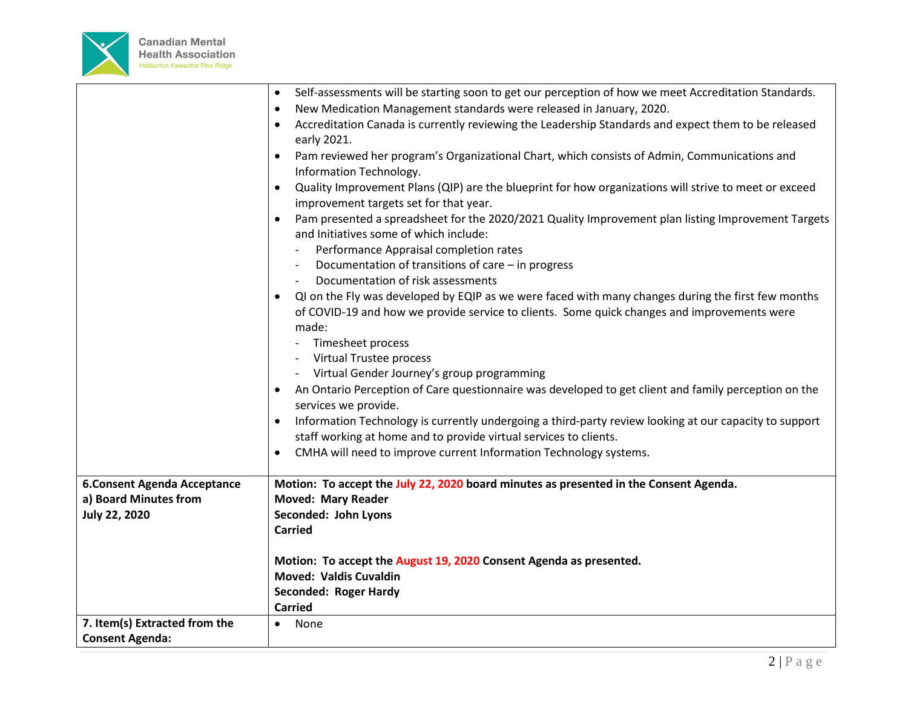

|                                                             | Self-assessments will be starting soon to get our perception of how we meet Accreditation Standards.<br>$\bullet$                                                                                              |
|-------------------------------------------------------------|----------------------------------------------------------------------------------------------------------------------------------------------------------------------------------------------------------------|
|                                                             | New Medication Management standards were released in January, 2020.<br>$\bullet$                                                                                                                               |
|                                                             | Accreditation Canada is currently reviewing the Leadership Standards and expect them to be released<br>$\bullet$                                                                                               |
|                                                             | early 2021.                                                                                                                                                                                                    |
|                                                             | Pam reviewed her program's Organizational Chart, which consists of Admin, Communications and<br>Information Technology.                                                                                        |
|                                                             | Quality Improvement Plans (QIP) are the blueprint for how organizations will strive to meet or exceed<br>$\bullet$<br>improvement targets set for that year.                                                   |
|                                                             | Pam presented a spreadsheet for the 2020/2021 Quality Improvement plan listing Improvement Targets<br>$\bullet$<br>and Initiatives some of which include:                                                      |
|                                                             | Performance Appraisal completion rates                                                                                                                                                                         |
|                                                             | Documentation of transitions of care - in progress                                                                                                                                                             |
|                                                             | Documentation of risk assessments                                                                                                                                                                              |
|                                                             | QI on the Fly was developed by EQIP as we were faced with many changes during the first few months<br>$\bullet$<br>of COVID-19 and how we provide service to clients. Some quick changes and improvements were |
|                                                             | made:                                                                                                                                                                                                          |
|                                                             | Timesheet process                                                                                                                                                                                              |
|                                                             | Virtual Trustee process                                                                                                                                                                                        |
|                                                             | Virtual Gender Journey's group programming                                                                                                                                                                     |
|                                                             | An Ontario Perception of Care questionnaire was developed to get client and family perception on the<br>services we provide.                                                                                   |
|                                                             | Information Technology is currently undergoing a third-party review looking at our capacity to support<br>staff working at home and to provide virtual services to clients.                                    |
|                                                             | CMHA will need to improve current Information Technology systems.<br>$\bullet$                                                                                                                                 |
|                                                             |                                                                                                                                                                                                                |
| <b>6.Consent Agenda Acceptance</b><br>a) Board Minutes from | Motion: To accept the July 22, 2020 board minutes as presented in the Consent Agenda.<br><b>Moved: Mary Reader</b>                                                                                             |
| <b>July 22, 2020</b>                                        | Seconded: John Lyons                                                                                                                                                                                           |
|                                                             | <b>Carried</b>                                                                                                                                                                                                 |
|                                                             | Motion: To accept the August 19, 2020 Consent Agenda as presented.                                                                                                                                             |
|                                                             | <b>Moved: Valdis Cuvaldin</b>                                                                                                                                                                                  |
|                                                             | Seconded: Roger Hardy                                                                                                                                                                                          |
|                                                             | <b>Carried</b>                                                                                                                                                                                                 |
| 7. Item(s) Extracted from the                               | None<br>$\bullet$                                                                                                                                                                                              |
| <b>Consent Agenda:</b>                                      |                                                                                                                                                                                                                |
|                                                             |                                                                                                                                                                                                                |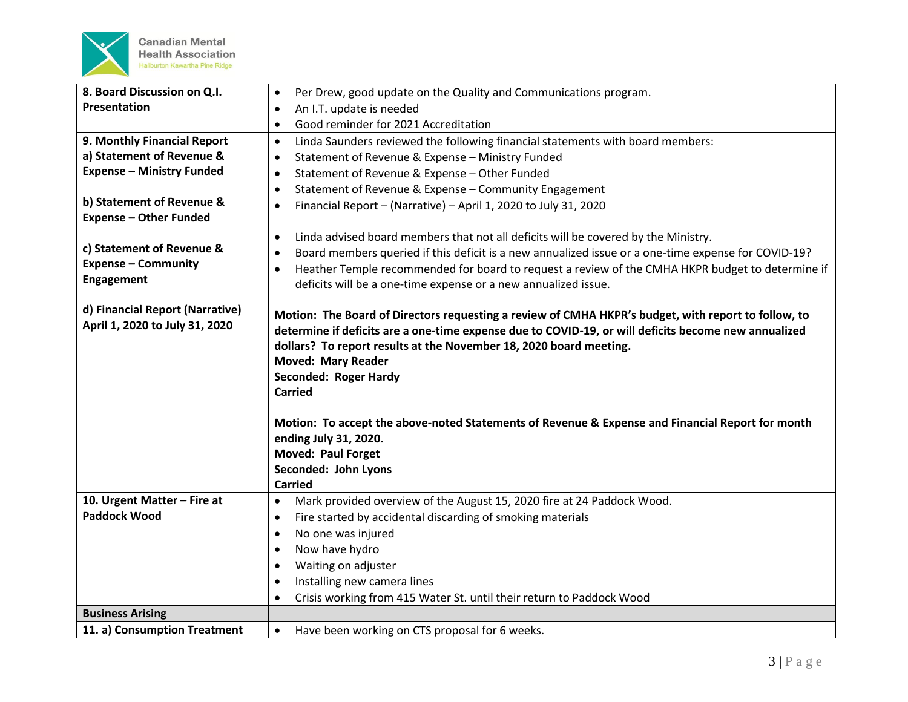

| 8. Board Discussion on Q.I.      | Per Drew, good update on the Quality and Communications program.<br>$\bullet$                        |
|----------------------------------|------------------------------------------------------------------------------------------------------|
| Presentation                     | An I.T. update is needed<br>$\bullet$                                                                |
|                                  | Good reminder for 2021 Accreditation<br>$\bullet$                                                    |
| 9. Monthly Financial Report      | Linda Saunders reviewed the following financial statements with board members:<br>$\bullet$          |
| a) Statement of Revenue &        | Statement of Revenue & Expense - Ministry Funded<br>$\bullet$                                        |
| <b>Expense - Ministry Funded</b> | Statement of Revenue & Expense - Other Funded<br>٠                                                   |
|                                  | Statement of Revenue & Expense - Community Engagement<br>$\bullet$                                   |
| b) Statement of Revenue &        | Financial Report - (Narrative) - April 1, 2020 to July 31, 2020<br>$\bullet$                         |
| <b>Expense - Other Funded</b>    |                                                                                                      |
|                                  | Linda advised board members that not all deficits will be covered by the Ministry.<br>$\bullet$      |
| c) Statement of Revenue &        | Board members queried if this deficit is a new annualized issue or a one-time expense for COVID-19?  |
| <b>Expense - Community</b>       | Heather Temple recommended for board to request a review of the CMHA HKPR budget to determine if     |
| <b>Engagement</b>                | deficits will be a one-time expense or a new annualized issue.                                       |
|                                  |                                                                                                      |
| d) Financial Report (Narrative)  | Motion: The Board of Directors requesting a review of CMHA HKPR's budget, with report to follow, to  |
| April 1, 2020 to July 31, 2020   | determine if deficits are a one-time expense due to COVID-19, or will deficits become new annualized |
|                                  | dollars? To report results at the November 18, 2020 board meeting.                                   |
|                                  | <b>Moved: Mary Reader</b>                                                                            |
|                                  | <b>Seconded: Roger Hardy</b>                                                                         |
|                                  | <b>Carried</b>                                                                                       |
|                                  |                                                                                                      |
|                                  | Motion: To accept the above-noted Statements of Revenue & Expense and Financial Report for month     |
|                                  | ending July 31, 2020.                                                                                |
|                                  | <b>Moved: Paul Forget</b>                                                                            |
|                                  | Seconded: John Lyons                                                                                 |
|                                  | <b>Carried</b>                                                                                       |
| 10. Urgent Matter - Fire at      | Mark provided overview of the August 15, 2020 fire at 24 Paddock Wood.<br>$\bullet$                  |
| <b>Paddock Wood</b>              | Fire started by accidental discarding of smoking materials<br>$\bullet$                              |
|                                  | No one was injured<br>$\bullet$                                                                      |
|                                  | Now have hydro<br>$\bullet$                                                                          |
|                                  | Waiting on adjuster<br>$\bullet$                                                                     |
|                                  | Installing new camera lines<br>$\bullet$                                                             |
|                                  | Crisis working from 415 Water St. until their return to Paddock Wood<br>$\bullet$                    |
| <b>Business Arising</b>          |                                                                                                      |
| 11. a) Consumption Treatment     | Have been working on CTS proposal for 6 weeks.<br>$\bullet$                                          |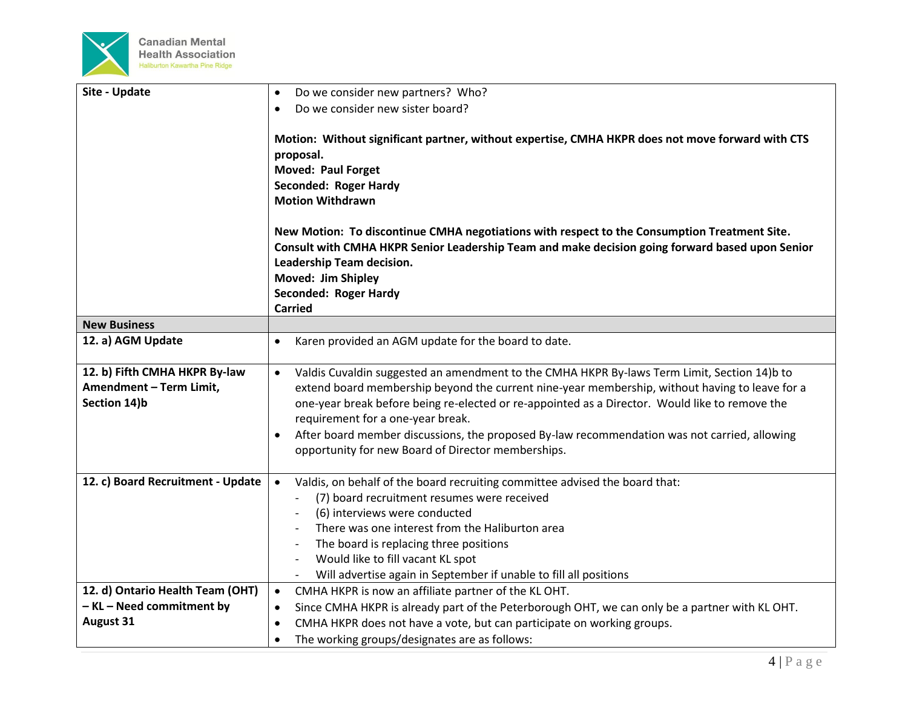

| Site - Update                                                            | Do we consider new partners? Who?<br>$\bullet$                                                                                                                                                                                                                                                                                                                                                                                                                                                                       |
|--------------------------------------------------------------------------|----------------------------------------------------------------------------------------------------------------------------------------------------------------------------------------------------------------------------------------------------------------------------------------------------------------------------------------------------------------------------------------------------------------------------------------------------------------------------------------------------------------------|
|                                                                          | Do we consider new sister board?<br>$\bullet$                                                                                                                                                                                                                                                                                                                                                                                                                                                                        |
|                                                                          | Motion: Without significant partner, without expertise, CMHA HKPR does not move forward with CTS<br>proposal.<br><b>Moved: Paul Forget</b><br><b>Seconded: Roger Hardy</b><br><b>Motion Withdrawn</b><br>New Motion: To discontinue CMHA negotiations with respect to the Consumption Treatment Site.<br>Consult with CMHA HKPR Senior Leadership Team and make decision going forward based upon Senior<br>Leadership Team decision.<br>Moved: Jim Shipley<br><b>Seconded: Roger Hardy</b><br><b>Carried</b>        |
| <b>New Business</b>                                                      |                                                                                                                                                                                                                                                                                                                                                                                                                                                                                                                      |
| 12. a) AGM Update                                                        | Karen provided an AGM update for the board to date.<br>$\bullet$                                                                                                                                                                                                                                                                                                                                                                                                                                                     |
|                                                                          |                                                                                                                                                                                                                                                                                                                                                                                                                                                                                                                      |
| 12. b) Fifth CMHA HKPR By-law<br>Amendment - Term Limit,<br>Section 14)b | Valdis Cuvaldin suggested an amendment to the CMHA HKPR By-laws Term Limit, Section 14)b to<br>$\bullet$<br>extend board membership beyond the current nine-year membership, without having to leave for a<br>one-year break before being re-elected or re-appointed as a Director. Would like to remove the<br>requirement for a one-year break.<br>After board member discussions, the proposed By-law recommendation was not carried, allowing<br>$\bullet$<br>opportunity for new Board of Director memberships. |
| 12. c) Board Recruitment - Update                                        | Valdis, on behalf of the board recruiting committee advised the board that:<br>$\bullet$<br>(7) board recruitment resumes were received<br>(6) interviews were conducted<br>There was one interest from the Haliburton area<br>The board is replacing three positions<br>$\overline{\phantom{0}}$<br>Would like to fill vacant KL spot<br>Will advertise again in September if unable to fill all positions                                                                                                          |
| 12. d) Ontario Health Team (OHT)                                         | CMHA HKPR is now an affiliate partner of the KL OHT.<br>$\bullet$                                                                                                                                                                                                                                                                                                                                                                                                                                                    |
| - KL - Need commitment by                                                | Since CMHA HKPR is already part of the Peterborough OHT, we can only be a partner with KL OHT.<br>$\bullet$                                                                                                                                                                                                                                                                                                                                                                                                          |
| <b>August 31</b>                                                         | CMHA HKPR does not have a vote, but can participate on working groups.<br>$\bullet$                                                                                                                                                                                                                                                                                                                                                                                                                                  |
|                                                                          | The working groups/designates are as follows:<br>$\bullet$                                                                                                                                                                                                                                                                                                                                                                                                                                                           |